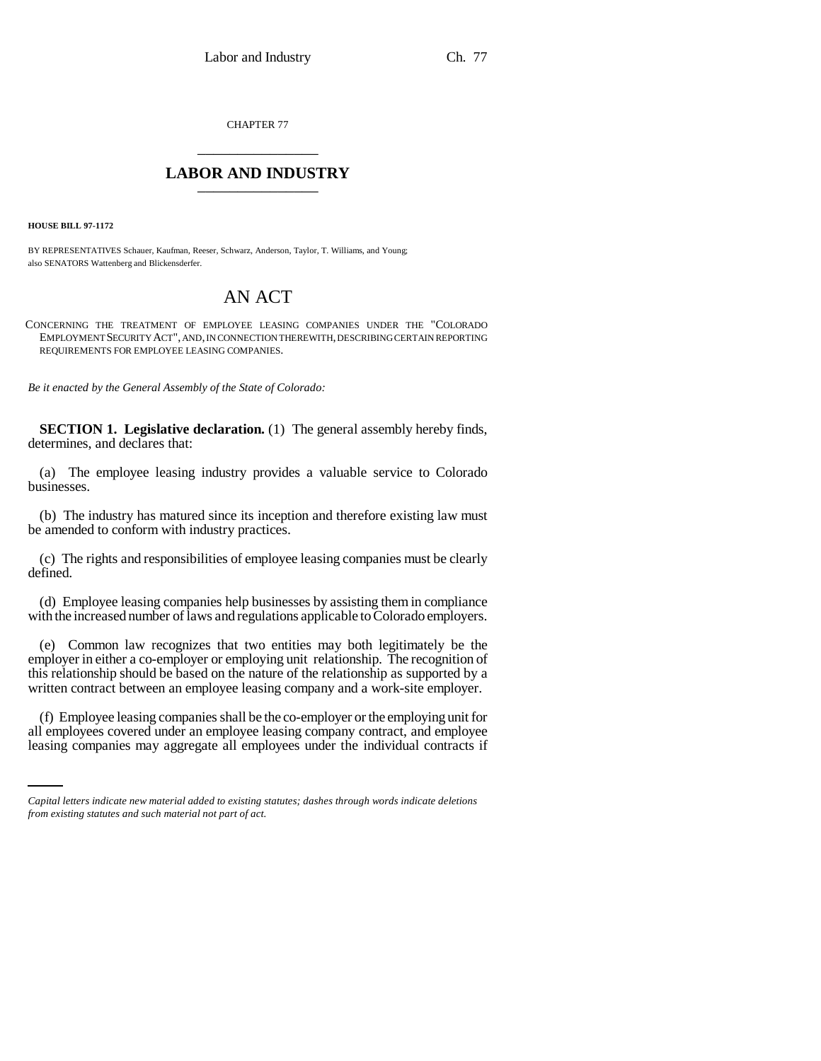CHAPTER 77 \_\_\_\_\_\_\_\_\_\_\_\_\_\_\_

## **LABOR AND INDUSTRY** \_\_\_\_\_\_\_\_\_\_\_\_\_\_\_

**HOUSE BILL 97-1172**

BY REPRESENTATIVES Schauer, Kaufman, Reeser, Schwarz, Anderson, Taylor, T. Williams, and Young; also SENATORS Wattenberg and Blickensderfer.

## AN ACT

CONCERNING THE TREATMENT OF EMPLOYEE LEASING COMPANIES UNDER THE "COLORADO EMPLOYMENT SECURITY ACT", AND, IN CONNECTION THEREWITH, DESCRIBING CERTAIN REPORTING REQUIREMENTS FOR EMPLOYEE LEASING COMPANIES.

*Be it enacted by the General Assembly of the State of Colorado:*

**SECTION 1. Legislative declaration.** (1) The general assembly hereby finds, determines, and declares that:

(a) The employee leasing industry provides a valuable service to Colorado businesses.

(b) The industry has matured since its inception and therefore existing law must be amended to conform with industry practices.

(c) The rights and responsibilities of employee leasing companies must be clearly defined.

(d) Employee leasing companies help businesses by assisting them in compliance with the increased number of laws and regulations applicable to Colorado employers.

(e) Common law recognizes that two entities may both legitimately be the employer in either a co-employer or employing unit relationship. The recognition of this relationship should be based on the nature of the relationship as supported by a written contract between an employee leasing company and a work-site employer.

(f) Employee leasing companies shall be the co-employer or the employing unit for all employees covered under an employee leasing company contract, and employee leasing companies may aggregate all employees under the individual contracts if

*Capital letters indicate new material added to existing statutes; dashes through words indicate deletions from existing statutes and such material not part of act.*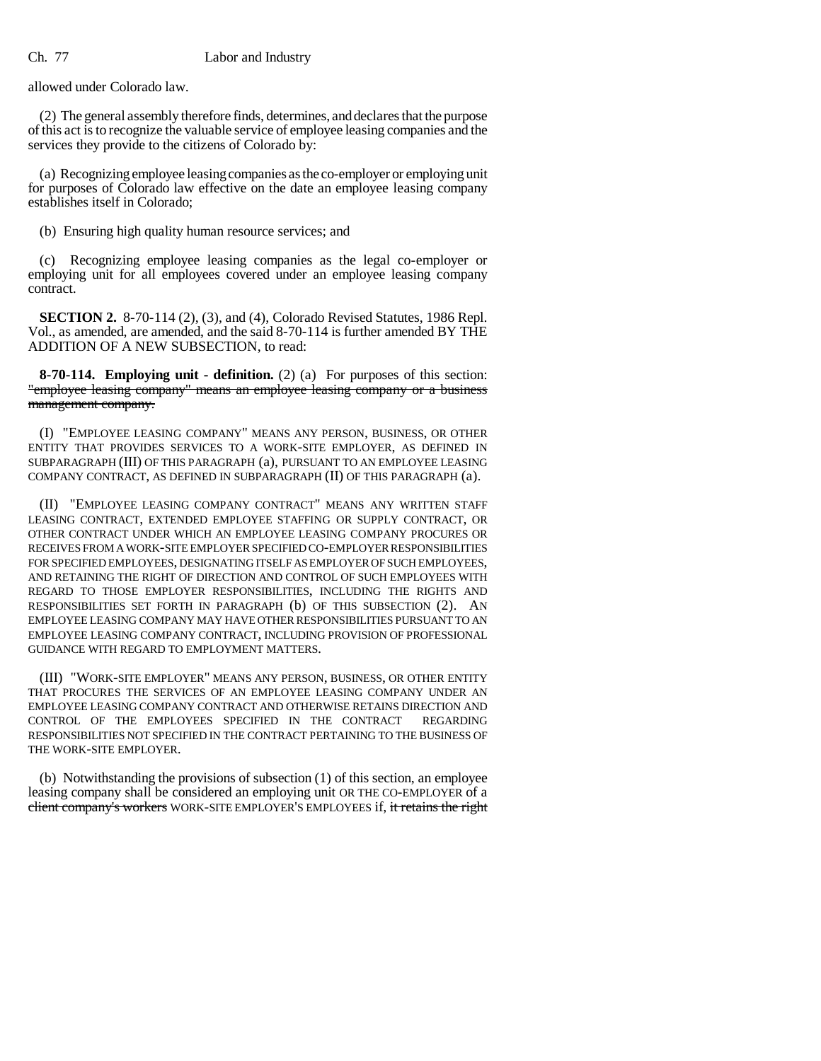## Ch. 77 Labor and Industry

allowed under Colorado law.

(2) The general assembly therefore finds, determines, and declares that the purpose of this act is to recognize the valuable service of employee leasing companies and the services they provide to the citizens of Colorado by:

(a) Recognizing employee leasing companies as the co-employer or employing unit for purposes of Colorado law effective on the date an employee leasing company establishes itself in Colorado;

(b) Ensuring high quality human resource services; and

(c) Recognizing employee leasing companies as the legal co-employer or employing unit for all employees covered under an employee leasing company contract.

**SECTION 2.** 8-70-114 (2), (3), and (4), Colorado Revised Statutes, 1986 Repl. Vol., as amended, are amended, and the said 8-70-114 is further amended BY THE ADDITION OF A NEW SUBSECTION, to read:

**8-70-114. Employing unit - definition.** (2) (a) For purposes of this section: "employee leasing company" means an employee leasing company or a business management company.

(I) "EMPLOYEE LEASING COMPANY" MEANS ANY PERSON, BUSINESS, OR OTHER ENTITY THAT PROVIDES SERVICES TO A WORK-SITE EMPLOYER, AS DEFINED IN SUBPARAGRAPH (III) OF THIS PARAGRAPH (a), PURSUANT TO AN EMPLOYEE LEASING COMPANY CONTRACT, AS DEFINED IN SUBPARAGRAPH (II) OF THIS PARAGRAPH (a).

(II) "EMPLOYEE LEASING COMPANY CONTRACT" MEANS ANY WRITTEN STAFF LEASING CONTRACT, EXTENDED EMPLOYEE STAFFING OR SUPPLY CONTRACT, OR OTHER CONTRACT UNDER WHICH AN EMPLOYEE LEASING COMPANY PROCURES OR RECEIVES FROM A WORK-SITE EMPLOYER SPECIFIED CO-EMPLOYER RESPONSIBILITIES FOR SPECIFIED EMPLOYEES, DESIGNATING ITSELF AS EMPLOYER OF SUCH EMPLOYEES, AND RETAINING THE RIGHT OF DIRECTION AND CONTROL OF SUCH EMPLOYEES WITH REGARD TO THOSE EMPLOYER RESPONSIBILITIES, INCLUDING THE RIGHTS AND RESPONSIBILITIES SET FORTH IN PARAGRAPH (b) OF THIS SUBSECTION (2). AN EMPLOYEE LEASING COMPANY MAY HAVE OTHER RESPONSIBILITIES PURSUANT TO AN EMPLOYEE LEASING COMPANY CONTRACT, INCLUDING PROVISION OF PROFESSIONAL GUIDANCE WITH REGARD TO EMPLOYMENT MATTERS.

(III) "WORK-SITE EMPLOYER" MEANS ANY PERSON, BUSINESS, OR OTHER ENTITY THAT PROCURES THE SERVICES OF AN EMPLOYEE LEASING COMPANY UNDER AN EMPLOYEE LEASING COMPANY CONTRACT AND OTHERWISE RETAINS DIRECTION AND CONTROL OF THE EMPLOYEES SPECIFIED IN THE CONTRACT REGARDING RESPONSIBILITIES NOT SPECIFIED IN THE CONTRACT PERTAINING TO THE BUSINESS OF THE WORK-SITE EMPLOYER.

(b) Notwithstanding the provisions of subsection (1) of this section, an employee leasing company shall be considered an employing unit OR THE CO-EMPLOYER of a client company's workers WORK-SITE EMPLOYER'S EMPLOYEES if, it retains the right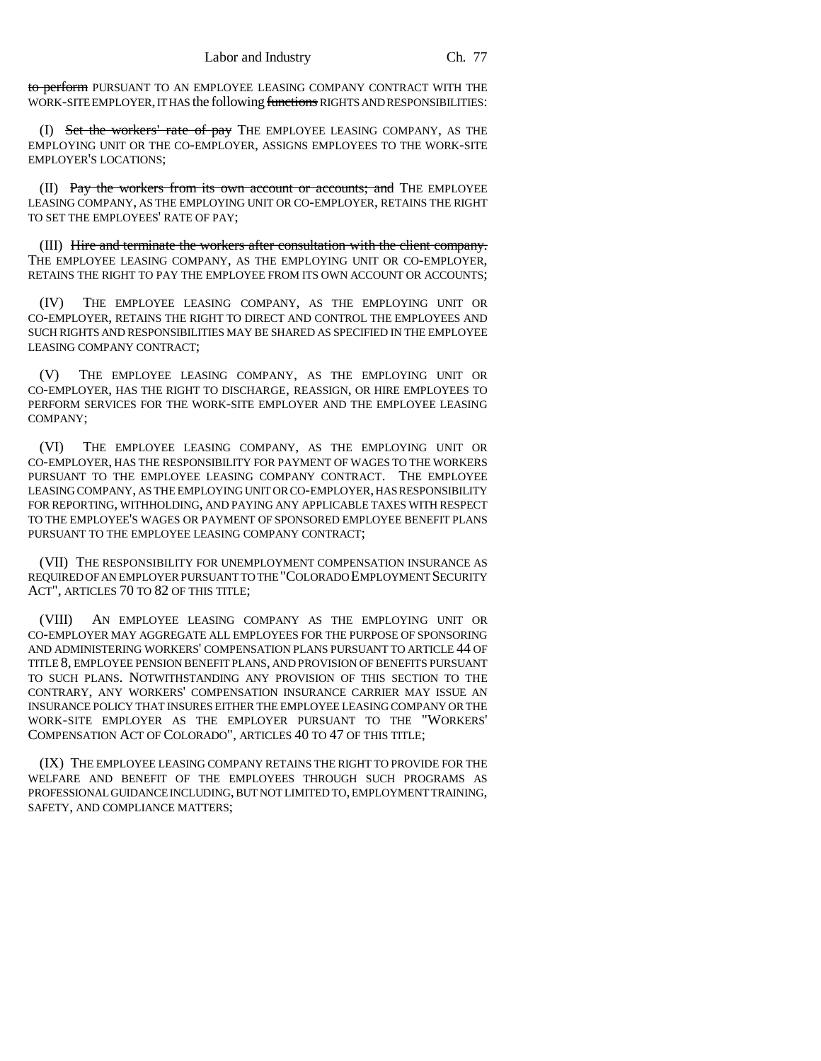to perform PURSUANT TO AN EMPLOYEE LEASING COMPANY CONTRACT WITH THE WORK-SITE EMPLOYER, IT HAS the following functions RIGHTS AND RESPONSIBILITIES:

(I) Set the workers' rate of pay THE EMPLOYEE LEASING COMPANY, AS THE EMPLOYING UNIT OR THE CO-EMPLOYER, ASSIGNS EMPLOYEES TO THE WORK-SITE EMPLOYER'S LOCATIONS;

(II) Pay the workers from its own account or accounts; and THE EMPLOYEE LEASING COMPANY, AS THE EMPLOYING UNIT OR CO-EMPLOYER, RETAINS THE RIGHT TO SET THE EMPLOYEES' RATE OF PAY;

(III) Hire and terminate the workers after consultation with the client company. THE EMPLOYEE LEASING COMPANY, AS THE EMPLOYING UNIT OR CO-EMPLOYER, RETAINS THE RIGHT TO PAY THE EMPLOYEE FROM ITS OWN ACCOUNT OR ACCOUNTS;

(IV) THE EMPLOYEE LEASING COMPANY, AS THE EMPLOYING UNIT OR CO-EMPLOYER, RETAINS THE RIGHT TO DIRECT AND CONTROL THE EMPLOYEES AND SUCH RIGHTS AND RESPONSIBILITIES MAY BE SHARED AS SPECIFIED IN THE EMPLOYEE LEASING COMPANY CONTRACT;

(V) THE EMPLOYEE LEASING COMPANY, AS THE EMPLOYING UNIT OR CO-EMPLOYER, HAS THE RIGHT TO DISCHARGE, REASSIGN, OR HIRE EMPLOYEES TO PERFORM SERVICES FOR THE WORK-SITE EMPLOYER AND THE EMPLOYEE LEASING COMPANY;

(VI) THE EMPLOYEE LEASING COMPANY, AS THE EMPLOYING UNIT OR CO-EMPLOYER, HAS THE RESPONSIBILITY FOR PAYMENT OF WAGES TO THE WORKERS PURSUANT TO THE EMPLOYEE LEASING COMPANY CONTRACT. THE EMPLOYEE LEASING COMPANY, AS THE EMPLOYING UNIT OR CO-EMPLOYER, HAS RESPONSIBILITY FOR REPORTING, WITHHOLDING, AND PAYING ANY APPLICABLE TAXES WITH RESPECT TO THE EMPLOYEE'S WAGES OR PAYMENT OF SPONSORED EMPLOYEE BENEFIT PLANS PURSUANT TO THE EMPLOYEE LEASING COMPANY CONTRACT;

(VII) THE RESPONSIBILITY FOR UNEMPLOYMENT COMPENSATION INSURANCE AS REQUIRED OF AN EMPLOYER PURSUANT TO THE "COLORADO EMPLOYMENT SECURITY ACT", ARTICLES 70 TO 82 OF THIS TITLE;

(VIII) AN EMPLOYEE LEASING COMPANY AS THE EMPLOYING UNIT OR CO-EMPLOYER MAY AGGREGATE ALL EMPLOYEES FOR THE PURPOSE OF SPONSORING AND ADMINISTERING WORKERS' COMPENSATION PLANS PURSUANT TO ARTICLE 44 OF TITLE 8, EMPLOYEE PENSION BENEFIT PLANS, AND PROVISION OF BENEFITS PURSUANT TO SUCH PLANS. NOTWITHSTANDING ANY PROVISION OF THIS SECTION TO THE CONTRARY, ANY WORKERS' COMPENSATION INSURANCE CARRIER MAY ISSUE AN INSURANCE POLICY THAT INSURES EITHER THE EMPLOYEE LEASING COMPANY OR THE WORK-SITE EMPLOYER AS THE EMPLOYER PURSUANT TO THE "WORKERS' COMPENSATION ACT OF COLORADO", ARTICLES 40 TO 47 OF THIS TITLE;

(IX) THE EMPLOYEE LEASING COMPANY RETAINS THE RIGHT TO PROVIDE FOR THE WELFARE AND BENEFIT OF THE EMPLOYEES THROUGH SUCH PROGRAMS AS PROFESSIONAL GUIDANCE INCLUDING, BUT NOT LIMITED TO, EMPLOYMENT TRAINING, SAFETY, AND COMPLIANCE MATTERS;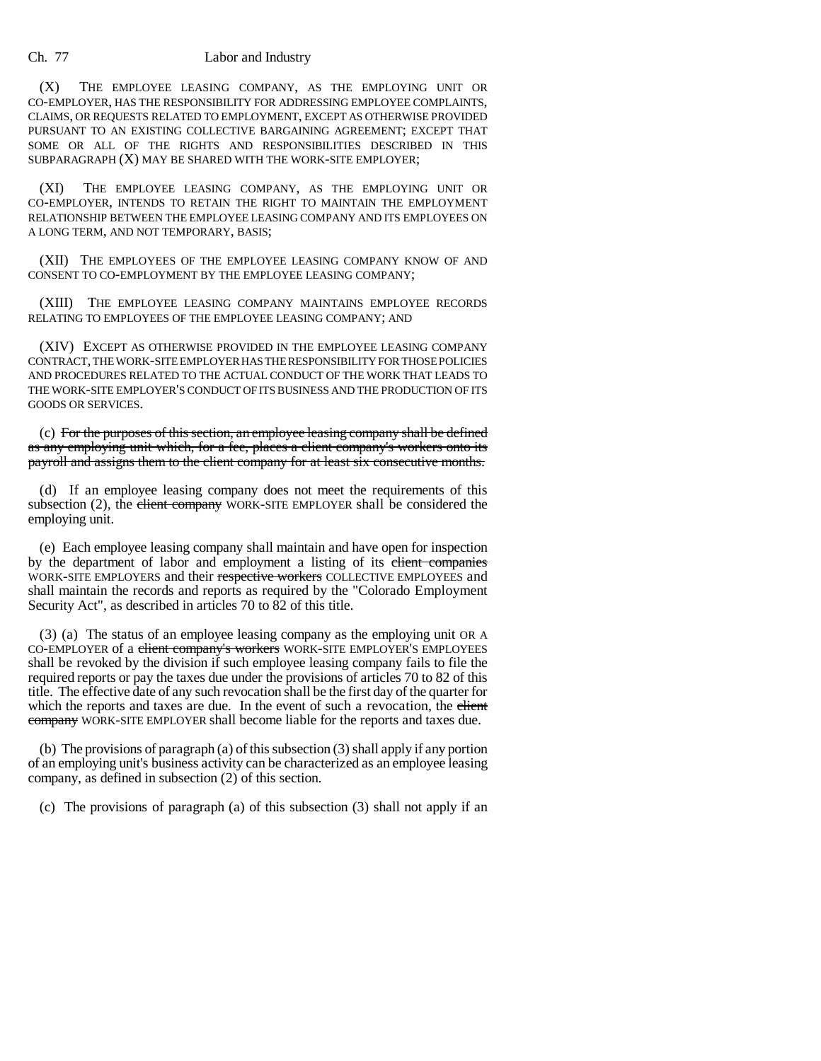## Ch. 77 Labor and Industry

(X) THE EMPLOYEE LEASING COMPANY, AS THE EMPLOYING UNIT OR CO-EMPLOYER, HAS THE RESPONSIBILITY FOR ADDRESSING EMPLOYEE COMPLAINTS, CLAIMS, OR REQUESTS RELATED TO EMPLOYMENT, EXCEPT AS OTHERWISE PROVIDED PURSUANT TO AN EXISTING COLLECTIVE BARGAINING AGREEMENT; EXCEPT THAT SOME OR ALL OF THE RIGHTS AND RESPONSIBILITIES DESCRIBED IN THIS SUBPARAGRAPH (X) MAY BE SHARED WITH THE WORK-SITE EMPLOYER;

(XI) THE EMPLOYEE LEASING COMPANY, AS THE EMPLOYING UNIT OR CO-EMPLOYER, INTENDS TO RETAIN THE RIGHT TO MAINTAIN THE EMPLOYMENT RELATIONSHIP BETWEEN THE EMPLOYEE LEASING COMPANY AND ITS EMPLOYEES ON A LONG TERM, AND NOT TEMPORARY, BASIS;

(XII) THE EMPLOYEES OF THE EMPLOYEE LEASING COMPANY KNOW OF AND CONSENT TO CO-EMPLOYMENT BY THE EMPLOYEE LEASING COMPANY;

(XIII) THE EMPLOYEE LEASING COMPANY MAINTAINS EMPLOYEE RECORDS RELATING TO EMPLOYEES OF THE EMPLOYEE LEASING COMPANY; AND

(XIV) EXCEPT AS OTHERWISE PROVIDED IN THE EMPLOYEE LEASING COMPANY CONTRACT, THE WORK-SITE EMPLOYER HAS THE RESPONSIBILITY FOR THOSE POLICIES AND PROCEDURES RELATED TO THE ACTUAL CONDUCT OF THE WORK THAT LEADS TO THE WORK-SITE EMPLOYER'S CONDUCT OF ITS BUSINESS AND THE PRODUCTION OF ITS GOODS OR SERVICES.

(c) For the purposes of this section, an employee leasing company shall be defined as any employing unit which, for a fee, places a client company's workers onto its payroll and assigns them to the client company for at least six consecutive months.

(d) If an employee leasing company does not meet the requirements of this subsection (2), the client company WORK-SITE EMPLOYER shall be considered the employing unit.

(e) Each employee leasing company shall maintain and have open for inspection by the department of labor and employment a listing of its client companies WORK-SITE EMPLOYERS and their respective workers COLLECTIVE EMPLOYEES and shall maintain the records and reports as required by the "Colorado Employment Security Act", as described in articles 70 to 82 of this title.

(3) (a) The status of an employee leasing company as the employing unit OR A CO-EMPLOYER of a client company's workers WORK-SITE EMPLOYER'S EMPLOYEES shall be revoked by the division if such employee leasing company fails to file the required reports or pay the taxes due under the provisions of articles 70 to 82 of this title. The effective date of any such revocation shall be the first day of the quarter for which the reports and taxes are due. In the event of such a revocation, the elient company WORK-SITE EMPLOYER shall become liable for the reports and taxes due.

(b) The provisions of paragraph (a) of this subsection (3) shall apply if any portion of an employing unit's business activity can be characterized as an employee leasing company, as defined in subsection (2) of this section.

(c) The provisions of paragraph (a) of this subsection (3) shall not apply if an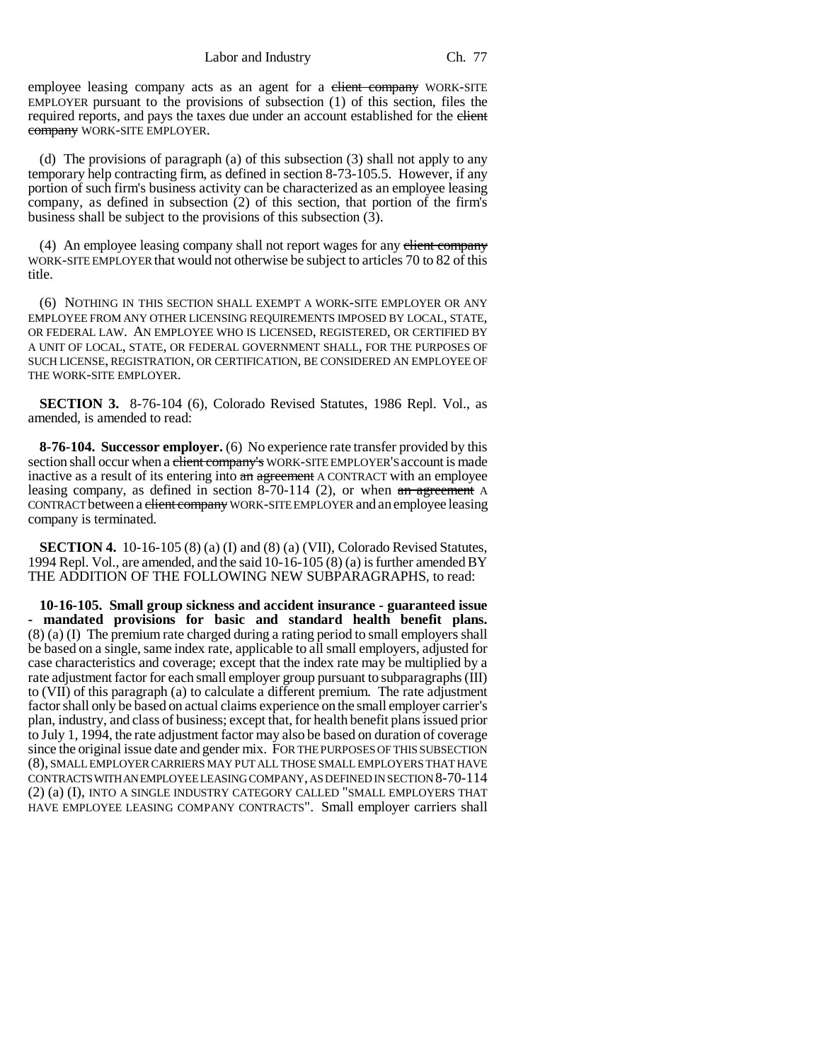Labor and Industry Ch. 77

employee leasing company acts as an agent for a client company WORK-SITE EMPLOYER pursuant to the provisions of subsection (1) of this section, files the required reports, and pays the taxes due under an account established for the client company WORK-SITE EMPLOYER.

(d) The provisions of paragraph (a) of this subsection (3) shall not apply to any temporary help contracting firm, as defined in section 8-73-105.5. However, if any portion of such firm's business activity can be characterized as an employee leasing company, as defined in subsection (2) of this section, that portion of the firm's business shall be subject to the provisions of this subsection (3).

(4) An employee leasing company shall not report wages for any elient company WORK-SITE EMPLOYER that would not otherwise be subject to articles 70 to 82 of this title.

(6) NOTHING IN THIS SECTION SHALL EXEMPT A WORK-SITE EMPLOYER OR ANY EMPLOYEE FROM ANY OTHER LICENSING REQUIREMENTS IMPOSED BY LOCAL, STATE, OR FEDERAL LAW. AN EMPLOYEE WHO IS LICENSED, REGISTERED, OR CERTIFIED BY A UNIT OF LOCAL, STATE, OR FEDERAL GOVERNMENT SHALL, FOR THE PURPOSES OF SUCH LICENSE, REGISTRATION, OR CERTIFICATION, BE CONSIDERED AN EMPLOYEE OF THE WORK-SITE EMPLOYER.

**SECTION 3.** 8-76-104 (6), Colorado Revised Statutes, 1986 Repl. Vol., as amended, is amended to read:

**8-76-104. Successor employer.** (6) No experience rate transfer provided by this section shall occur when a client company's WORK-SITE EMPLOYER'S account is made inactive as a result of its entering into an agreement A CONTRACT with an employee leasing company, as defined in section 8-70-114 (2), or when an agreement A CONTRACT between a client company WORK-SITE EMPLOYER and an employee leasing company is terminated.

**SECTION 4.** 10-16-105 (8) (a) (I) and (8) (a) (VII), Colorado Revised Statutes, 1994 Repl. Vol., are amended, and the said 10-16-105 (8) (a) is further amended BY THE ADDITION OF THE FOLLOWING NEW SUBPARAGRAPHS, to read:

**10-16-105. Small group sickness and accident insurance - guaranteed issue - mandated provisions for basic and standard health benefit plans.** (8) (a) (I) The premium rate charged during a rating period to small employers shall be based on a single, same index rate, applicable to all small employers, adjusted for case characteristics and coverage; except that the index rate may be multiplied by a rate adjustment factor for each small employer group pursuant to subparagraphs (III) to (VII) of this paragraph (a) to calculate a different premium. The rate adjustment factor shall only be based on actual claims experience on the small employer carrier's plan, industry, and class of business; except that, for health benefit plans issued prior to July 1, 1994, the rate adjustment factor may also be based on duration of coverage since the original issue date and gender mix. FOR THE PURPOSES OF THIS SUBSECTION (8), SMALL EMPLOYER CARRIERS MAY PUT ALL THOSE SMALL EMPLOYERS THAT HAVE CONTRACTS WITH AN EMPLOYEE LEASING COMPANY, AS DEFINED IN SECTION 8-70-114 (2) (a) (I), INTO A SINGLE INDUSTRY CATEGORY CALLED "SMALL EMPLOYERS THAT HAVE EMPLOYEE LEASING COMPANY CONTRACTS". Small employer carriers shall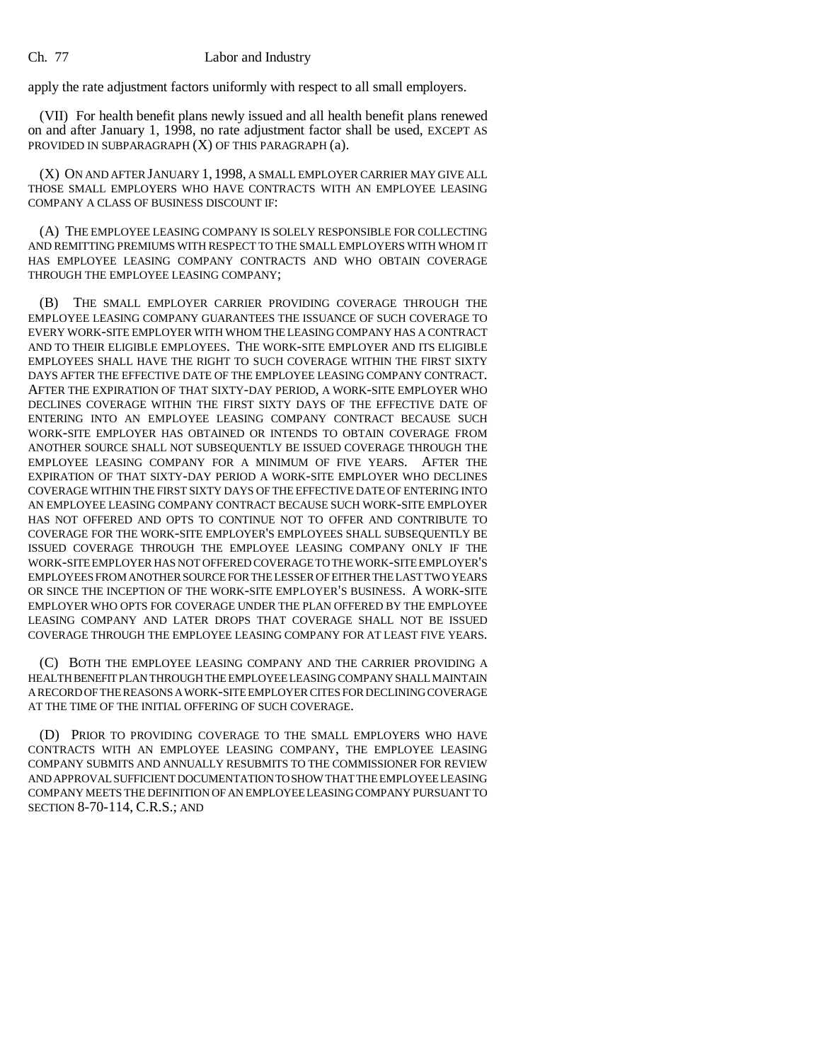apply the rate adjustment factors uniformly with respect to all small employers.

(VII) For health benefit plans newly issued and all health benefit plans renewed on and after January 1, 1998, no rate adjustment factor shall be used, EXCEPT AS PROVIDED IN SUBPARAGRAPH (X) OF THIS PARAGRAPH (a).

(X) ON AND AFTER JANUARY 1, 1998, A SMALL EMPLOYER CARRIER MAY GIVE ALL THOSE SMALL EMPLOYERS WHO HAVE CONTRACTS WITH AN EMPLOYEE LEASING COMPANY A CLASS OF BUSINESS DISCOUNT IF:

(A) THE EMPLOYEE LEASING COMPANY IS SOLELY RESPONSIBLE FOR COLLECTING AND REMITTING PREMIUMS WITH RESPECT TO THE SMALL EMPLOYERS WITH WHOM IT HAS EMPLOYEE LEASING COMPANY CONTRACTS AND WHO OBTAIN COVERAGE THROUGH THE EMPLOYEE LEASING COMPANY;

(B) THE SMALL EMPLOYER CARRIER PROVIDING COVERAGE THROUGH THE EMPLOYEE LEASING COMPANY GUARANTEES THE ISSUANCE OF SUCH COVERAGE TO EVERY WORK-SITE EMPLOYER WITH WHOM THE LEASING COMPANY HAS A CONTRACT AND TO THEIR ELIGIBLE EMPLOYEES. THE WORK-SITE EMPLOYER AND ITS ELIGIBLE EMPLOYEES SHALL HAVE THE RIGHT TO SUCH COVERAGE WITHIN THE FIRST SIXTY DAYS AFTER THE EFFECTIVE DATE OF THE EMPLOYEE LEASING COMPANY CONTRACT. AFTER THE EXPIRATION OF THAT SIXTY-DAY PERIOD, A WORK-SITE EMPLOYER WHO DECLINES COVERAGE WITHIN THE FIRST SIXTY DAYS OF THE EFFECTIVE DATE OF ENTERING INTO AN EMPLOYEE LEASING COMPANY CONTRACT BECAUSE SUCH WORK-SITE EMPLOYER HAS OBTAINED OR INTENDS TO OBTAIN COVERAGE FROM ANOTHER SOURCE SHALL NOT SUBSEQUENTLY BE ISSUED COVERAGE THROUGH THE EMPLOYEE LEASING COMPANY FOR A MINIMUM OF FIVE YEARS. AFTER THE EXPIRATION OF THAT SIXTY-DAY PERIOD A WORK-SITE EMPLOYER WHO DECLINES COVERAGE WITHIN THE FIRST SIXTY DAYS OF THE EFFECTIVE DATE OF ENTERING INTO AN EMPLOYEE LEASING COMPANY CONTRACT BECAUSE SUCH WORK-SITE EMPLOYER HAS NOT OFFERED AND OPTS TO CONTINUE NOT TO OFFER AND CONTRIBUTE TO COVERAGE FOR THE WORK-SITE EMPLOYER'S EMPLOYEES SHALL SUBSEQUENTLY BE ISSUED COVERAGE THROUGH THE EMPLOYEE LEASING COMPANY ONLY IF THE WORK-SITE EMPLOYER HAS NOT OFFERED COVERAGE TO THE WORK-SITE EMPLOYER'S EMPLOYEES FROM ANOTHER SOURCE FOR THE LESSER OF EITHER THE LAST TWO YEARS OR SINCE THE INCEPTION OF THE WORK-SITE EMPLOYER'S BUSINESS. A WORK-SITE EMPLOYER WHO OPTS FOR COVERAGE UNDER THE PLAN OFFERED BY THE EMPLOYEE LEASING COMPANY AND LATER DROPS THAT COVERAGE SHALL NOT BE ISSUED COVERAGE THROUGH THE EMPLOYEE LEASING COMPANY FOR AT LEAST FIVE YEARS.

(C) BOTH THE EMPLOYEE LEASING COMPANY AND THE CARRIER PROVIDING A HEALTH BENEFIT PLAN THROUGH THE EMPLOYEE LEASING COMPANY SHALL MAINTAIN A RECORD OF THE REASONS A WORK-SITE EMPLOYER CITES FOR DECLINING COVERAGE AT THE TIME OF THE INITIAL OFFERING OF SUCH COVERAGE.

(D) PRIOR TO PROVIDING COVERAGE TO THE SMALL EMPLOYERS WHO HAVE CONTRACTS WITH AN EMPLOYEE LEASING COMPANY, THE EMPLOYEE LEASING COMPANY SUBMITS AND ANNUALLY RESUBMITS TO THE COMMISSIONER FOR REVIEW AND APPROVAL SUFFICIENT DOCUMENTATION TO SHOW THAT THE EMPLOYEE LEASING COMPANY MEETS THE DEFINITION OF AN EMPLOYEE LEASING COMPANY PURSUANT TO SECTION 8-70-114, C.R.S.; AND